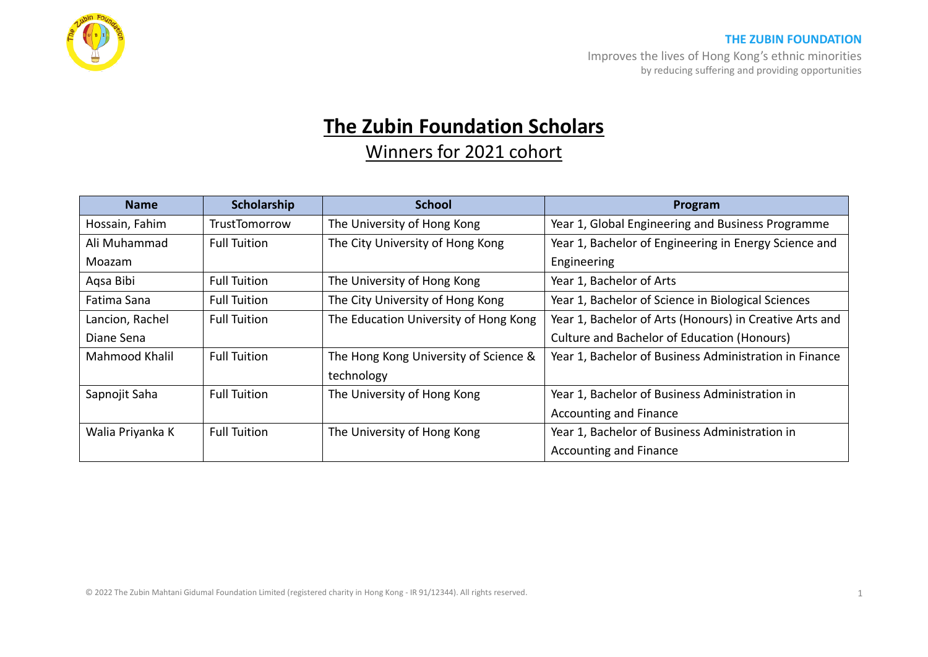

## **THE ZUBIN FOUNDATION**

Improves the lives of Hong Kong's ethnic minorities by reducing suffering and providing opportunities

## **The Zubin Foundation Scholars**

Winners for 2021 cohort

| <b>Name</b>      | Scholarship         | <b>School</b>                         | Program                                                 |
|------------------|---------------------|---------------------------------------|---------------------------------------------------------|
| Hossain, Fahim   | TrustTomorrow       | The University of Hong Kong           | Year 1, Global Engineering and Business Programme       |
| Ali Muhammad     | <b>Full Tuition</b> | The City University of Hong Kong      | Year 1, Bachelor of Engineering in Energy Science and   |
| Moazam           |                     |                                       | Engineering                                             |
| Aqsa Bibi        | <b>Full Tuition</b> | The University of Hong Kong           | Year 1, Bachelor of Arts                                |
| Fatima Sana      | <b>Full Tuition</b> | The City University of Hong Kong      | Year 1, Bachelor of Science in Biological Sciences      |
| Lancion, Rachel  | <b>Full Tuition</b> | The Education University of Hong Kong | Year 1, Bachelor of Arts (Honours) in Creative Arts and |
| Diane Sena       |                     |                                       | <b>Culture and Bachelor of Education (Honours)</b>      |
| Mahmood Khalil   | <b>Full Tuition</b> | The Hong Kong University of Science & | Year 1, Bachelor of Business Administration in Finance  |
|                  |                     | technology                            |                                                         |
| Sapnojit Saha    | <b>Full Tuition</b> | The University of Hong Kong           | Year 1, Bachelor of Business Administration in          |
|                  |                     |                                       | <b>Accounting and Finance</b>                           |
| Walia Priyanka K | <b>Full Tuition</b> | The University of Hong Kong           | Year 1, Bachelor of Business Administration in          |
|                  |                     |                                       | <b>Accounting and Finance</b>                           |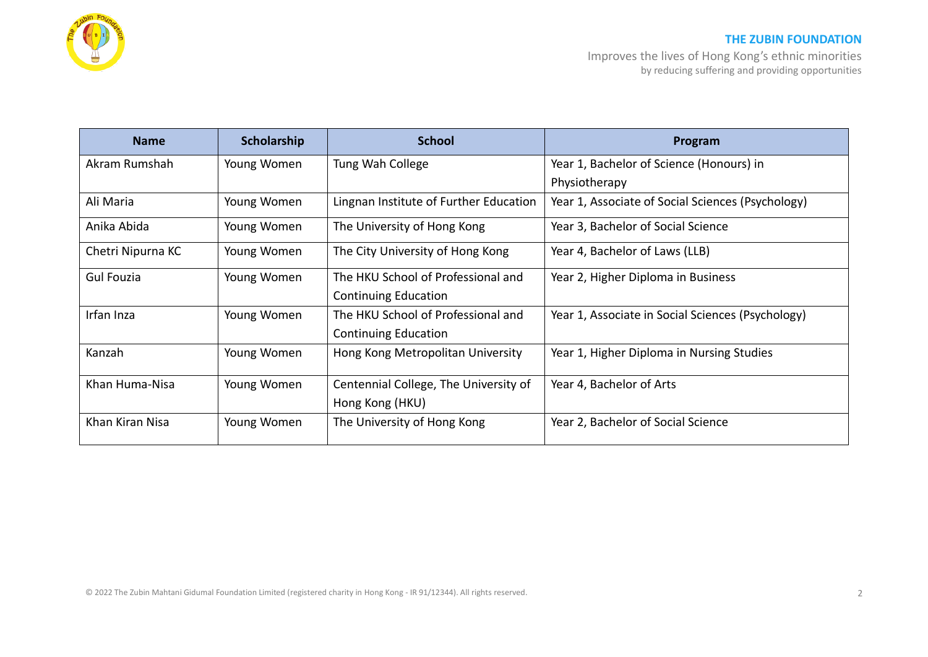

Improves the lives of Hong Kong's ethnic minorities by reducing suffering and providing opportunities

| <b>Name</b>       | Scholarship | <b>School</b>                          | Program                                           |
|-------------------|-------------|----------------------------------------|---------------------------------------------------|
| Akram Rumshah     | Young Women | Tung Wah College                       | Year 1, Bachelor of Science (Honours) in          |
|                   |             |                                        | Physiotherapy                                     |
| Ali Maria         | Young Women | Lingnan Institute of Further Education | Year 1, Associate of Social Sciences (Psychology) |
| Anika Abida       | Young Women | The University of Hong Kong            | Year 3, Bachelor of Social Science                |
| Chetri Nipurna KC | Young Women | The City University of Hong Kong       | Year 4, Bachelor of Laws (LLB)                    |
| Gul Fouzia        | Young Women | The HKU School of Professional and     | Year 2, Higher Diploma in Business                |
|                   |             | <b>Continuing Education</b>            |                                                   |
| Irfan Inza        | Young Women | The HKU School of Professional and     | Year 1, Associate in Social Sciences (Psychology) |
|                   |             | <b>Continuing Education</b>            |                                                   |
| Kanzah            | Young Women | Hong Kong Metropolitan University      | Year 1, Higher Diploma in Nursing Studies         |
| Khan Huma-Nisa    | Young Women | Centennial College, The University of  | Year 4, Bachelor of Arts                          |
|                   |             | Hong Kong (HKU)                        |                                                   |
| Khan Kiran Nisa   | Young Women | The University of Hong Kong            | Year 2, Bachelor of Social Science                |

© 2022 The Zubin Mahtani Gidumal Foundation Limited (registered charity in Hong Kong - IR 91/12344). All rights reserved. 2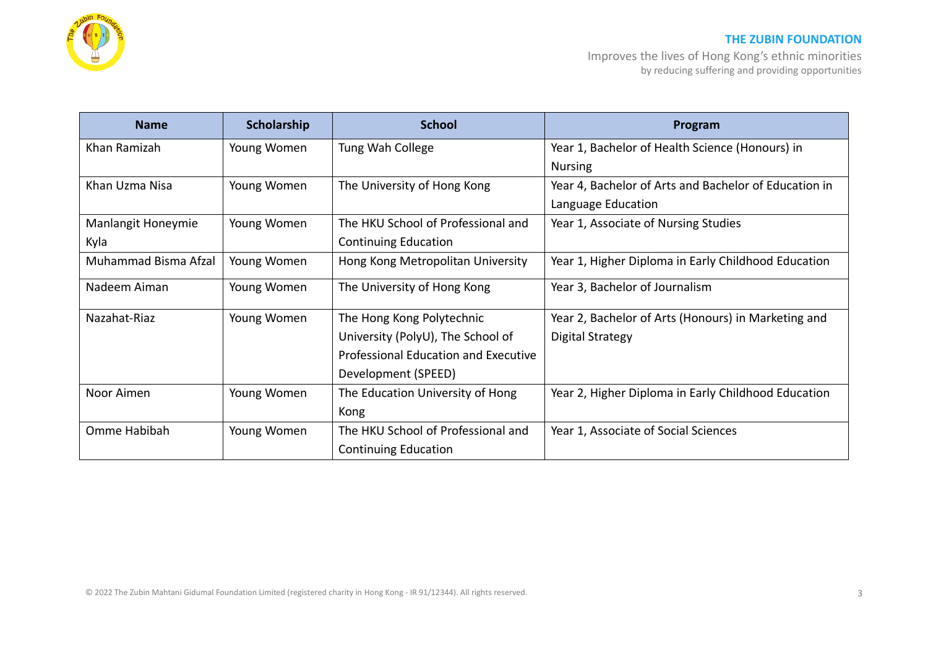

## **THE ZUBIN FOUNDATION**

Improves the lives of Hong Kong's ethnic minorities by reducing suffering and providing opportunities

| <b>Name</b>          | Scholarship | <b>School</b>                        | Program                                               |
|----------------------|-------------|--------------------------------------|-------------------------------------------------------|
| Khan Ramizah         | Young Women | Tung Wah College                     | Year 1, Bachelor of Health Science (Honours) in       |
|                      |             |                                      | <b>Nursing</b>                                        |
| Khan Uzma Nisa       | Young Women | The University of Hong Kong          | Year 4, Bachelor of Arts and Bachelor of Education in |
|                      |             |                                      | Language Education                                    |
| Manlangit Honeymie   | Young Women | The HKU School of Professional and   | Year 1, Associate of Nursing Studies                  |
| Kyla                 |             | <b>Continuing Education</b>          |                                                       |
| Muhammad Bisma Afzal | Young Women | Hong Kong Metropolitan University    | Year 1, Higher Diploma in Early Childhood Education   |
| Nadeem Aiman         | Young Women | The University of Hong Kong          | Year 3, Bachelor of Journalism                        |
| Nazahat-Riaz         | Young Women | The Hong Kong Polytechnic            | Year 2, Bachelor of Arts (Honours) in Marketing and   |
|                      |             | University (PolyU), The School of    | Digital Strategy                                      |
|                      |             | Professional Education and Executive |                                                       |
|                      |             | Development (SPEED)                  |                                                       |
| Noor Aimen           | Young Women | The Education University of Hong     | Year 2, Higher Diploma in Early Childhood Education   |
|                      |             | Kong                                 |                                                       |
| Omme Habibah         | Young Women | The HKU School of Professional and   | Year 1, Associate of Social Sciences                  |
|                      |             | <b>Continuing Education</b>          |                                                       |